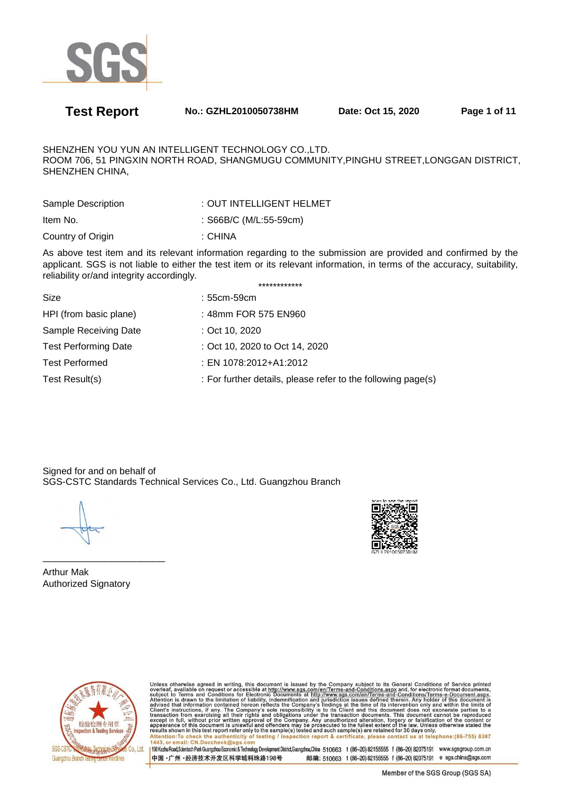

**Test Report No.: GZHL2010050738HM Date: Oct 15, 2020 Page 1 of 11** 

SHENZHEN YOU YUN AN INTELLIGENT TECHNOLOGY CO.,LTD. ROOM 706, 51 PINGXIN NORTH ROAD, SHANGMUGU COMMUNITY,PINGHU STREET,LONGGAN DISTRICT, SHENZHEN CHINA,

| Sample Description | : OUT INTELLIGENT HELMET |
|--------------------|--------------------------|
| Item No.           | : $S66B/C$ (M/L:55-59cm) |
| Country of Origin  | : CHINA                  |

As above test item and its relevant information regarding to the submission are provided and confirmed by the applicant. SGS is not liable to either the test item or its relevant information, in terms of the accuracy, suitability, reliability or/and integrity accordingly. \*\*\*\*\*\*\*\*\*\*\*\*

| Size                        | : 55cm-59cm                                                  |
|-----------------------------|--------------------------------------------------------------|
| HPI (from basic plane)      | : 48mm FOR 575 EN960                                         |
| Sample Receiving Date       | : Oct 10, 2020                                               |
| <b>Test Performing Date</b> | : Oct 10, 2020 to Oct 14, 2020                               |
| <b>Test Performed</b>       | : EN 1078:2012+A1:2012                                       |
| Test Result(s)              | : For further details, please refer to the following page(s) |
|                             |                                                              |

Signed for and on behalf of SGS-CSTC Standards Technical Services Co., Ltd. Guangzhou Branch

————————————— Arthur Mak Authorized Signatory



Unless otherwise agreed in writing, this document is issued by the Company subject to its General Conditions of Service printed<br>overleaf, available on request or accessible at http://www.sgs.com/en/Terms-and-Conditions.asp Attention: To check the authenticity of testing / inspection report & certificate, please contact us at telephone: (86-755) 8307<br>1443, or email: CN.Doccheck@sqs.com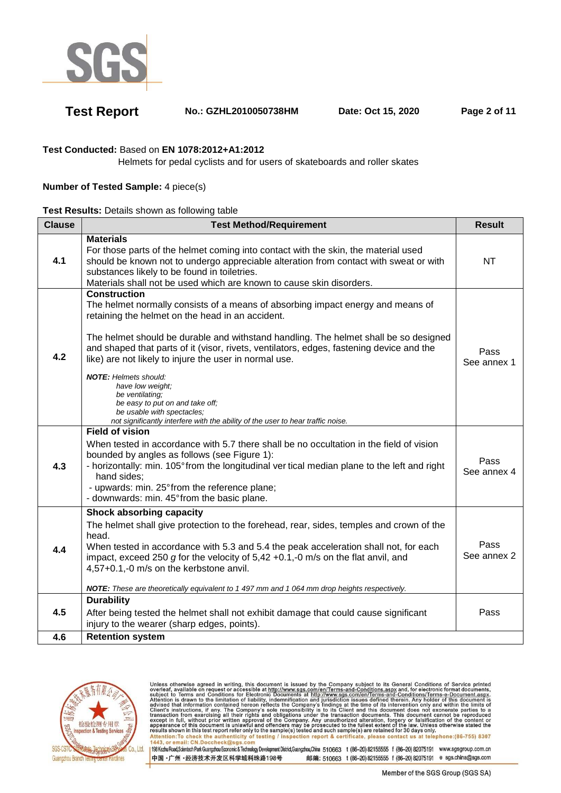

**Test Report No.: GZHL2010050738HM Date: Oct 15, 2020 Page 2 of 11** 

### **Test Conducted:** Based on **EN 1078:2012+A1:2012**

Helmets for pedal cyclists and for users of skateboards and roller skates

### **Number of Tested Sample:** 4 piece(s)

### **Test Results:** Details shown as following table

| <b>Clause</b> | <b>Test Method/Requirement</b>                                                                                                                                                                                                                                                                                                                                                                                                                                                                                                                                                                                                      |                     |  |  |
|---------------|-------------------------------------------------------------------------------------------------------------------------------------------------------------------------------------------------------------------------------------------------------------------------------------------------------------------------------------------------------------------------------------------------------------------------------------------------------------------------------------------------------------------------------------------------------------------------------------------------------------------------------------|---------------------|--|--|
| 4.1           | <b>Materials</b><br>For those parts of the helmet coming into contact with the skin, the material used<br>should be known not to undergo appreciable alteration from contact with sweat or with<br>substances likely to be found in toiletries.<br>Materials shall not be used which are known to cause skin disorders.                                                                                                                                                                                                                                                                                                             | <b>NT</b>           |  |  |
| 4.2           | <b>Construction</b><br>The helmet normally consists of a means of absorbing impact energy and means of<br>retaining the helmet on the head in an accident.<br>The helmet should be durable and withstand handling. The helmet shall be so designed<br>and shaped that parts of it (visor, rivets, ventilators, edges, fastening device and the<br>like) are not likely to injure the user in normal use.<br><b>NOTE:</b> Helmets should:<br>have low weight;<br>be ventilating:<br>be easy to put on and take off;<br>be usable with spectacles;<br>not significantly interfere with the ability of the user to hear traffic noise. | Pass<br>See annex 1 |  |  |
| 4.3           | <b>Field of vision</b><br>When tested in accordance with 5.7 there shall be no occultation in the field of vision<br>bounded by angles as follows (see Figure 1):<br>- horizontally: min. 105° from the longitudinal ver tical median plane to the left and right<br>hand sides;<br>- upwards: min. 25° from the reference plane;<br>- downwards: min. 45° from the basic plane.                                                                                                                                                                                                                                                    | Pass<br>See annex 4 |  |  |
| 4.4           | <b>Shock absorbing capacity</b><br>The helmet shall give protection to the forehead, rear, sides, temples and crown of the<br>head.<br>When tested in accordance with 5.3 and 5.4 the peak acceleration shall not, for each<br>impact, exceed 250 g for the velocity of 5,42 +0.1,-0 m/s on the flat anvil, and<br>4,57+0.1,-0 m/s on the kerbstone anvil.<br>NOTE: These are theoretically equivalent to 1 497 mm and 1 064 mm drop heights respectively.                                                                                                                                                                          | Pass<br>See annex 2 |  |  |
| 4.5           | <b>Durability</b><br>After being tested the helmet shall not exhibit damage that could cause significant<br>injury to the wearer (sharp edges, points).                                                                                                                                                                                                                                                                                                                                                                                                                                                                             | Pass                |  |  |
| 4.6           | <b>Retention system</b>                                                                                                                                                                                                                                                                                                                                                                                                                                                                                                                                                                                                             |                     |  |  |



Unless otherwise agreed in writing, this document is issued by the Company subject to its General Conditions of Service printed<br>overleaf, available on request or accessible at http://www.sgs.com/en/Terms-and-Conditions.asp Attention: To check the authenticity of testing / inspection report & certificate, please contact us at telephone: (86-755) 8307<br>1443, or email: CN.Doccheck@sgs.com 198 Kezhu Road,Scientech Park Guangzhou Economic & Technology Development District,Guangzhou,China 510663 t (86-20) 82155555 f (86-20) 82075191 www.sgsgroup.com.cn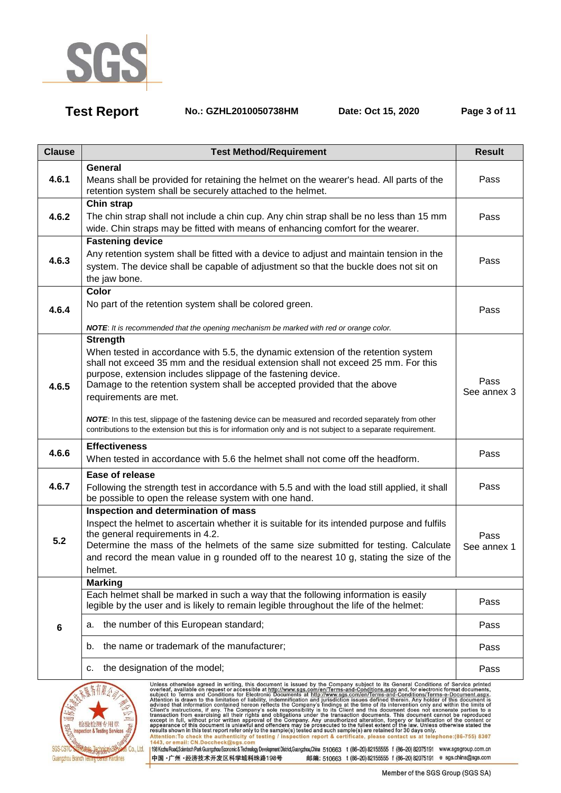

**Test Report No.: GZHL2010050738HM Date: Oct 15, 2020 Page 3 of 11** 

| <b>Clause</b>                                                                                                                                                                                                                                                                                                                                                                                                                                                                                                                                                                                                            | <b>Test Method/Requirement</b>                                                                                                                                                                                                                                                                                                                                                                                                                                                                                                                                                               |                     |  |  |
|--------------------------------------------------------------------------------------------------------------------------------------------------------------------------------------------------------------------------------------------------------------------------------------------------------------------------------------------------------------------------------------------------------------------------------------------------------------------------------------------------------------------------------------------------------------------------------------------------------------------------|----------------------------------------------------------------------------------------------------------------------------------------------------------------------------------------------------------------------------------------------------------------------------------------------------------------------------------------------------------------------------------------------------------------------------------------------------------------------------------------------------------------------------------------------------------------------------------------------|---------------------|--|--|
| 4.6.1                                                                                                                                                                                                                                                                                                                                                                                                                                                                                                                                                                                                                    | <b>General</b><br>Means shall be provided for retaining the helmet on the wearer's head. All parts of the<br>retention system shall be securely attached to the helmet.                                                                                                                                                                                                                                                                                                                                                                                                                      |                     |  |  |
| 4.6.2                                                                                                                                                                                                                                                                                                                                                                                                                                                                                                                                                                                                                    | Chin strap<br>The chin strap shall not include a chin cup. Any chin strap shall be no less than 15 mm<br>wide. Chin straps may be fitted with means of enhancing comfort for the wearer.                                                                                                                                                                                                                                                                                                                                                                                                     | Pass                |  |  |
| 4.6.3                                                                                                                                                                                                                                                                                                                                                                                                                                                                                                                                                                                                                    | <b>Fastening device</b><br>Any retention system shall be fitted with a device to adjust and maintain tension in the<br>system. The device shall be capable of adjustment so that the buckle does not sit on<br>the jaw bone.                                                                                                                                                                                                                                                                                                                                                                 | Pass                |  |  |
| 4.6.4                                                                                                                                                                                                                                                                                                                                                                                                                                                                                                                                                                                                                    | Color<br>No part of the retention system shall be colored green.<br>NOTE: It is recommended that the opening mechanism be marked with red or orange color.                                                                                                                                                                                                                                                                                                                                                                                                                                   | Pass                |  |  |
| 4.6.5                                                                                                                                                                                                                                                                                                                                                                                                                                                                                                                                                                                                                    | <b>Strength</b><br>When tested in accordance with 5.5, the dynamic extension of the retention system<br>shall not exceed 35 mm and the residual extension shall not exceed 25 mm. For this<br>purpose, extension includes slippage of the fastening device.<br>Damage to the retention system shall be accepted provided that the above<br>requirements are met.<br>NOTE: In this test, slippage of the fastening device can be measured and recorded separately from other<br>contributions to the extension but this is for information only and is not subject to a separate requirement. | Pass<br>See annex 3 |  |  |
| 4.6.6                                                                                                                                                                                                                                                                                                                                                                                                                                                                                                                                                                                                                    | <b>Effectiveness</b><br>When tested in accordance with 5.6 the helmet shall not come off the headform.                                                                                                                                                                                                                                                                                                                                                                                                                                                                                       | Pass                |  |  |
| 4.6.7                                                                                                                                                                                                                                                                                                                                                                                                                                                                                                                                                                                                                    | Ease of release<br>Following the strength test in accordance with 5.5 and with the load still applied, it shall<br>be possible to open the release system with one hand.                                                                                                                                                                                                                                                                                                                                                                                                                     | Pass                |  |  |
| 5.2                                                                                                                                                                                                                                                                                                                                                                                                                                                                                                                                                                                                                      | Inspection and determination of mass<br>Inspect the helmet to ascertain whether it is suitable for its intended purpose and fulfils<br>the general requirements in 4.2.<br>Determine the mass of the helmets of the same size submitted for testing. Calculate<br>and record the mean value in g rounded off to the nearest 10 g, stating the size of the<br>helmet.                                                                                                                                                                                                                         | Pass<br>See annex 1 |  |  |
|                                                                                                                                                                                                                                                                                                                                                                                                                                                                                                                                                                                                                          | <b>Marking</b><br>Each helmet shall be marked in such a way that the following information is easily<br>legible by the user and is likely to remain legible throughout the life of the helmet:                                                                                                                                                                                                                                                                                                                                                                                               | Pass                |  |  |
| $6\phantom{1}6$                                                                                                                                                                                                                                                                                                                                                                                                                                                                                                                                                                                                          | the number of this European standard;<br>a.                                                                                                                                                                                                                                                                                                                                                                                                                                                                                                                                                  | Pass                |  |  |
|                                                                                                                                                                                                                                                                                                                                                                                                                                                                                                                                                                                                                          | the name or trademark of the manufacturer;<br>b.                                                                                                                                                                                                                                                                                                                                                                                                                                                                                                                                             | Pass                |  |  |
|                                                                                                                                                                                                                                                                                                                                                                                                                                                                                                                                                                                                                          | the designation of the model;<br>с.                                                                                                                                                                                                                                                                                                                                                                                                                                                                                                                                                          | Pass                |  |  |
| Unless otherwise agreed in writing, this document is issued by the Company subject to its General Conditions of Service printed<br>overleaf, available on request or accessible at http://www.sgs.com/en/Terms-and-Conditions.ag<br>шι<br>Inspection & Testing Services<br>Attention: To check the authenticity of testing / inspection report & certificate, please contact us at telephone: (86-755) 8307<br>1443, or email: CN.Doccheck@sgs.com<br>198Kezhu Road,Scientech Park Guangzhou Economic & Technology Development District,Guangzhou,China 510663 t (86-20) 82155555 f (86-20) 82075191 www.sgsgroup.com.cn |                                                                                                                                                                                                                                                                                                                                                                                                                                                                                                                                                                                              |                     |  |  |

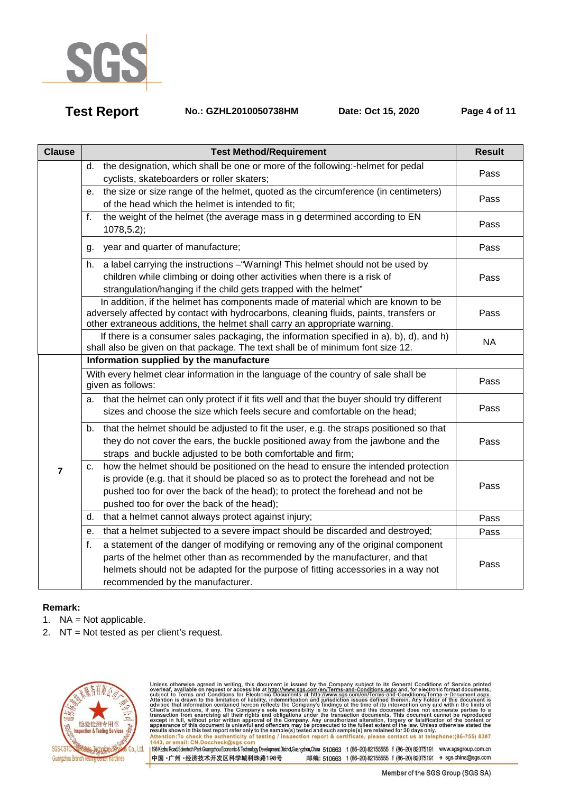

**Test Report No.: GZHL2010050738HM Date: Oct 15, 2020 Page 4 of 11** 

| <b>Clause</b>  | <b>Test Method/Requirement</b>                                                                                                                                                                                                                                                                               | <b>Result</b> |
|----------------|--------------------------------------------------------------------------------------------------------------------------------------------------------------------------------------------------------------------------------------------------------------------------------------------------------------|---------------|
|                | the designation, which shall be one or more of the following:-helmet for pedal<br>d.<br>cyclists, skateboarders or roller skaters;                                                                                                                                                                           | Pass          |
|                | the size or size range of the helmet, quoted as the circumference (in centimeters)<br>е.<br>of the head which the helmet is intended to fit;                                                                                                                                                                 | Pass          |
|                | the weight of the helmet (the average mass in g determined according to EN<br>f.<br>$1078, 5.2$ ;                                                                                                                                                                                                            | Pass          |
|                | year and quarter of manufacture;<br>q.                                                                                                                                                                                                                                                                       | Pass          |
|                | a label carrying the instructions - "Warning! This helmet should not be used by<br>h.<br>children while climbing or doing other activities when there is a risk of<br>strangulation/hanging if the child gets trapped with the helmet"                                                                       | Pass          |
|                | In addition, if the helmet has components made of material which are known to be<br>adversely affected by contact with hydrocarbons, cleaning fluids, paints, transfers or<br>other extraneous additions, the helmet shall carry an appropriate warning.                                                     | Pass          |
|                | If there is a consumer sales packaging, the information specified in a), b), d), and h)<br>shall also be given on that package. The text shall be of minimum font size 12.                                                                                                                                   | <b>NA</b>     |
|                | Information supplied by the manufacture                                                                                                                                                                                                                                                                      |               |
|                | With every helmet clear information in the language of the country of sale shall be<br>given as follows:                                                                                                                                                                                                     | Pass          |
|                | a. that the helmet can only protect if it fits well and that the buyer should try different<br>sizes and choose the size which feels secure and comfortable on the head:                                                                                                                                     | Pass          |
| $\overline{7}$ | that the helmet should be adjusted to fit the user, e.g. the straps positioned so that<br>b.<br>they do not cover the ears, the buckle positioned away from the jawbone and the<br>straps and buckle adjusted to be both comfortable and firm;                                                               | Pass          |
|                | how the helmet should be positioned on the head to ensure the intended protection<br>c.<br>is provide (e.g. that it should be placed so as to protect the forehead and not be<br>pushed too for over the back of the head); to protect the forehead and not be<br>pushed too for over the back of the head); | Pass          |
|                | that a helmet cannot always protect against injury;<br>d.                                                                                                                                                                                                                                                    | Pass          |
|                | that a helmet subjected to a severe impact should be discarded and destroyed;<br>е.                                                                                                                                                                                                                          | Pass          |
|                | f.<br>a statement of the danger of modifying or removing any of the original component<br>parts of the helmet other than as recommended by the manufacturer, and that<br>helmets should not be adapted for the purpose of fitting accessories in a way not<br>recommended by the manufacturer.               | Pass          |

## **Remark:**

- 1. NA = Not applicable.
- 2. NT = Not tested as per client's request.



Unless otherwise agreed in writing, this document is issued by the Company subject to its General Conditions of Service printed<br>overleaf, available on request or accessible at http://www.sgs.com/en/Terms-and-Conditions.asp Passission in this essent point of the samplets) issued and such samplets are retained to so days only the samplet of the authenticity of testing / inspection report & certificate, please contact us at telephone: (86-755) 198 Kezhu Road,Scientech Park Guangzhou Economic & Technology Development District,Guangzhou,China 510663 t (86-20) 82155555 f (86-20) 82075191 www.sgsgroup.com.cn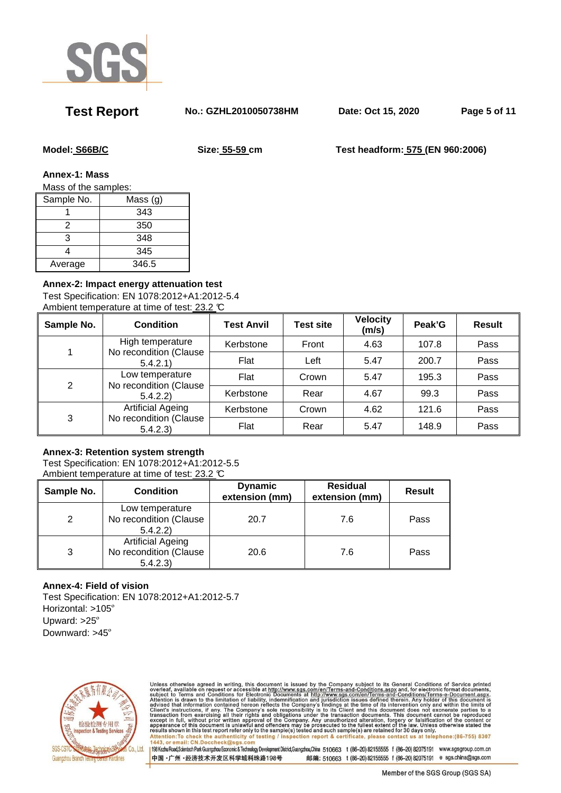

**Test Report No.: GZHL2010050738HM Date: Oct 15, 2020 Page 5 of 11** 

**Model: S66B/C Size: 55-59 cm Test headform: 575 (EN 960:2006)** 

**Annex-1: Mass** 

Mass of the samples:

| Sample No. | Mass $(g)$ |
|------------|------------|
|            | 343        |
| 2          | 350        |
| 3          | 348        |
|            | 345        |
| Average    | 346.5      |

### **Annex-2: Impact energy attenuation test**

Test Specification: EN 1078:2012+A1:2012-5.4 Ambient temperature at time of test: 23.2 °C

| Sample No. | <b>Condition</b>                                              | <b>Test Anvil</b> | <b>Test site</b> | <b>Velocity</b><br>(m/s) | Peak'G | <b>Result</b> |
|------------|---------------------------------------------------------------|-------------------|------------------|--------------------------|--------|---------------|
|            | High temperature<br>No recondition (Clause<br>5.4.2.1         | Kerbstone         | Front            | 4.63                     | 107.8  | Pass          |
|            |                                                               | Flat              | Left             | 5.47                     | 200.7  | Pass          |
| 2          | Low temperature<br>No recondition (Clause<br>5.4.2.2)         | Flat              | Crown            | 5.47                     | 195.3  | Pass          |
|            |                                                               | Kerbstone         | Rear             | 4.67                     | 99.3   | Pass          |
| 3          | <b>Artificial Ageing</b><br>No recondition (Clause<br>5.4.2.3 | Kerbstone         | Crown            | 4.62                     | 121.6  | Pass          |
|            |                                                               | Flat              | Rear             | 5.47                     | 148.9  | Pass          |

### **Annex-3: Retention system strength**

Test Specification: EN 1078:2012+A1:2012-5.5 Ambient temperature at time of test: 23.2 °C

| Sample No.    | <b>Condition</b>                                               | <b>Dynamic</b><br>extension (mm) | <b>Residual</b><br>extension (mm) |      |
|---------------|----------------------------------------------------------------|----------------------------------|-----------------------------------|------|
| $\mathcal{P}$ | Low temperature<br>No recondition (Clause<br>5.4.2.2)          | 20.7                             | 7.6                               | Pass |
| 3             | <b>Artificial Ageing</b><br>No recondition (Clause<br>5.4.2.3) | 20.6                             | 7.6                               | Pass |

### **Annex-4: Field of vision**

Test Specification: EN 1078:2012+A1:2012-5.7 Horizontal: >105º Upward: >25º Downward: >45º



Unless otherwise agreed in writing, this document is issued by the Company subject to its General Conditions of Service printed<br>overleaf, available on request or accessible at http://www.sgs.com/en/Terms-and-Conditions.asp Attention: To check the authenticity of testing / inspection report & certificate, please contact us at telephone: (86-755) 8307<br>1443, or email: CN.Doccheck@sgs.com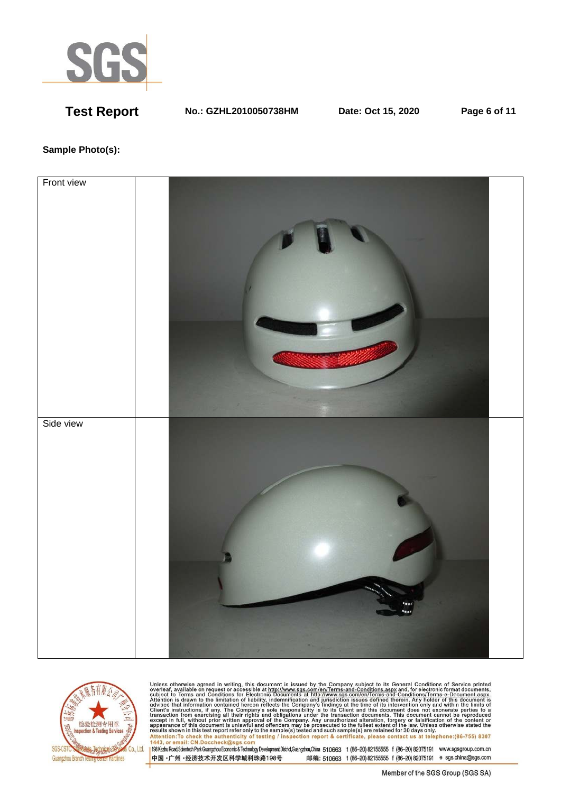

**Test Report No.: GZHL2010050738HM Date: Oct 15, 2020 Page 6 of 11** 

### **Sample Photo(s):**





Unless otherwise agreed in writing, this document is issued by the Company subject to its General Conditions of Service printed<br>overleaf, available on request or accessible at http://www.sgs.com/en/Terms-and-Conditions.asp resums shown in una essere point eneroiny to une samplets) rester and such samplets are retained to 50 usys omn<br>Attention:To check the authenticity of testing / inspection report & certificate, please contact us at telep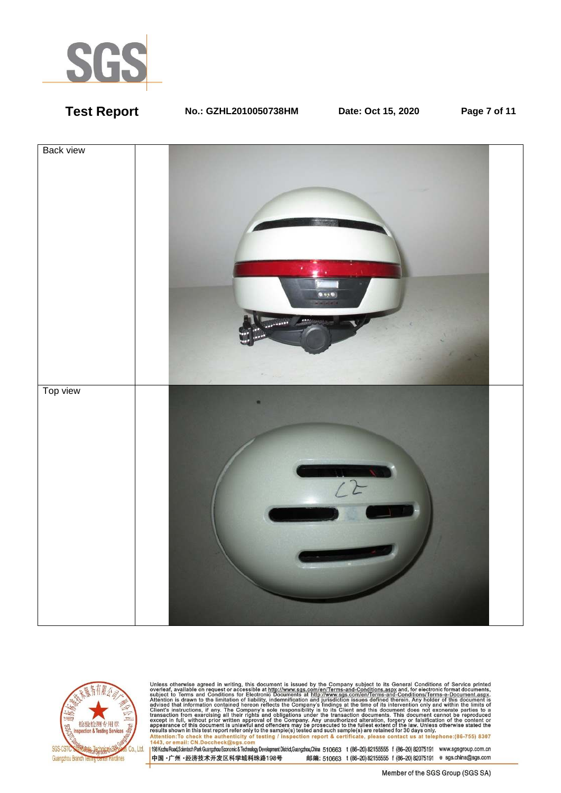

**Test Report No.: GZHL2010050738HM Date: Oct 15, 2020 Page 7 of 11** 





Unless otherwise agreed in writing, this document is issued by the Company subject to its General Conditions of Service printed<br>overleaf, available on request or accessible at http://www.sgs.com/en/Terms-and-Conditions.as resums shown in una essere point eneroiny to une samplets) rester and such samplets are retained to 50 usys omn<br>Attention:To check the authenticity of testing / inspection report & certificate, please contact us at telep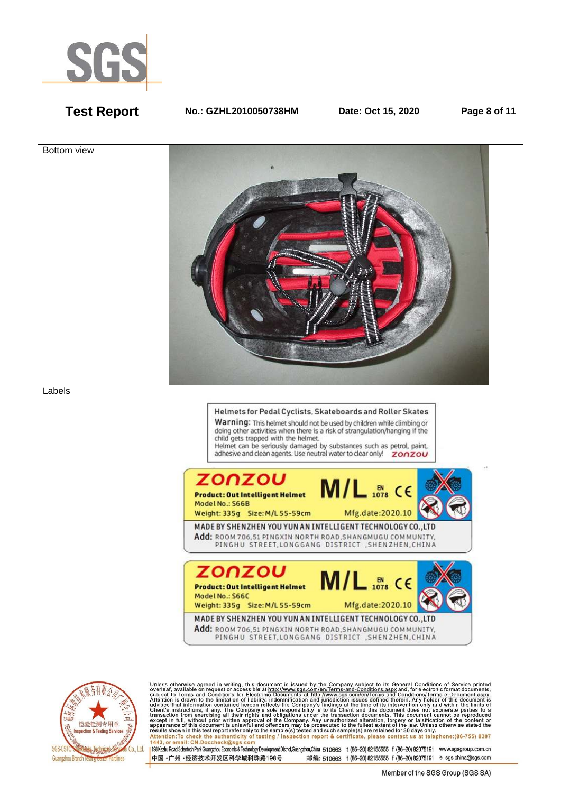

**Test Report No.: GZHL2010050738HM Date: Oct 15, 2020 Page 8 of 11** 





Unless otherwise agreed in writing, this document is issued by the Company subject to its General Conditions of Service printed<br>overleaf, available on request or accessible at http://www.sgs.com/en/Terms-and-Conditions.as Attention: To check the authenticity of testing / inspection report & certificate, please contact us at telephone: (86-755) 8307<br>1443, or email: CN.Doccheck@sqs.com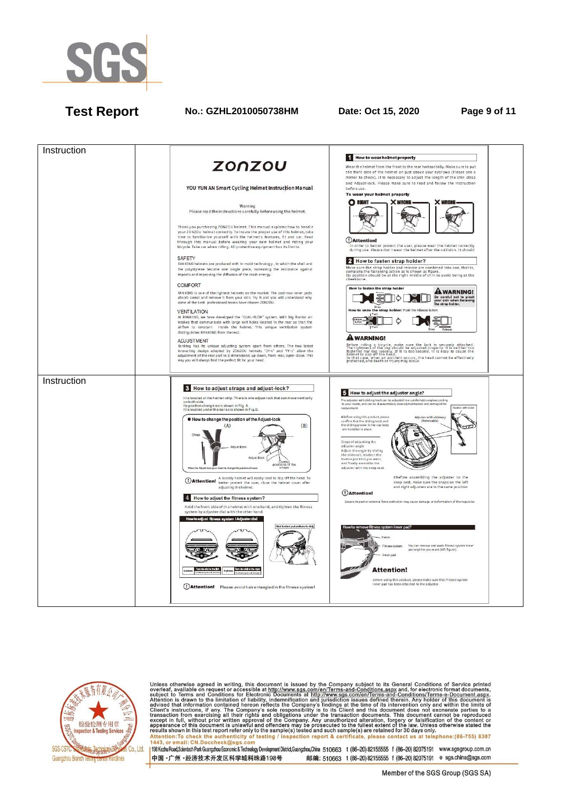

# **Test Report No.: GZHL2010050738HM Date: Oct 15, 2020 Page 9 of 11**





Unless otherwise agreed in writing, this document is issued by the Company subject to its General Conditions of Service printed<br>overleaf, available on request or accessible at http://www.sgs.com/en/Terms-and-Conditions.as Attention: To check the authenticity of testing / inspection report & certificate, please contact us at telephone: (86-755) 8307<br>1443, or email: CN.Doccheck@sqs.com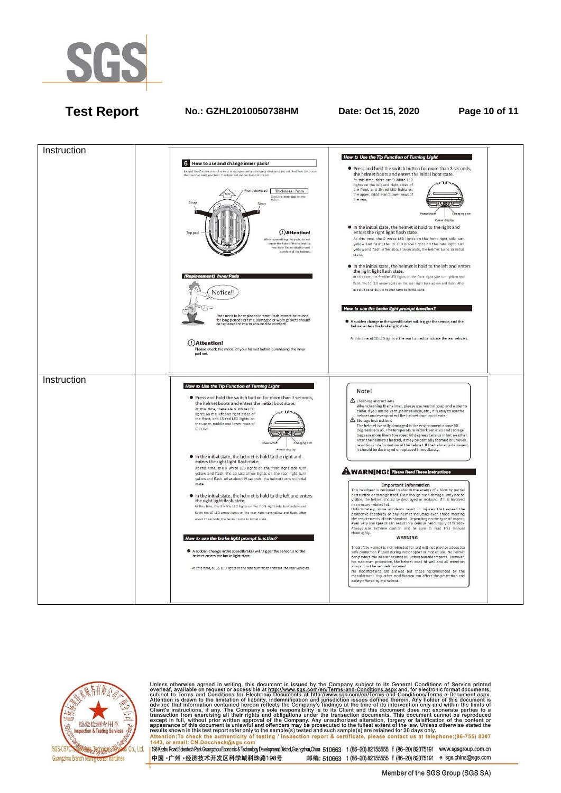

## **Test Report No.: GZHL2010050738HM Date: Oct 15, 2020 Page 10 of 11**





Unless otherwise agreed in writing, this document is issued by the Company subject to its General Conditions of Service printed<br>overleaf, available on request or accessible at http://www.sgs.com/en/Terms-and-Conditions.as Attention: To check the authenticity of testing / inspection report & certificate, please contact us at telephone: (86-755) 8307<br>1443, or email: CN.Doccheck@sqs.com